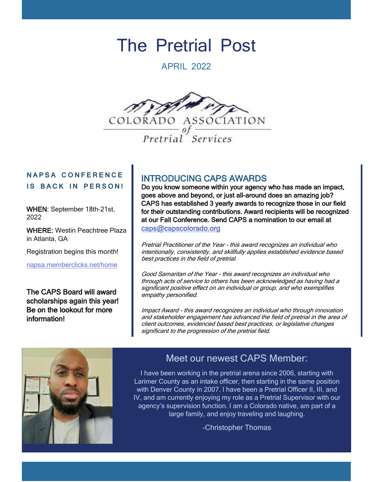# The Pretrial Post

APRIL 2022



## **N A P S A C O N F E R E N C E IS BACK IN PERSON!**

WHEN: September 18th-21st, 2022

WHERE: Westin Peachtree Plaza in Atlanta, GA

Registration begins this month!

[napsa.memberclicks.net/home](https://napsa.memberclicks.net/home)

The CAPS Board will award scholarships again this year! Be on the lookout for more information!

# INTRODUCING CAPS AWARDS

Do you know someone within your agency who has made an impact, goes above and beyond, or just all-around does an amazing job? CAPS has established 3 yearly awards to recognize those in our field for their outstanding contributions. Award recipients will be recognized at our Fall Conference. Send CAPS a nomination to our email at [caps@capscolorado.org](mailto:caps@capscolorado.org)

Pretrial Practitioner of the Year - this award recognizes an individual who intentionally, consistently, and skillfully applies established evidence based best practices in the field of pretrial.

Good Samaritan of the Year - this award recognizes an individual who through acts of service to others has been acknowledged as having had a significant positive effect on an individual or group, and who exemplifies empathy personified.

Impact Award - this award recognizes an individual who through innovation and stakeholder engagement has advanced the field of pretrial in the area of client outcomes, evidenced based best practices, or legislative changes significant to the progression of the pretrial field.



# Meet our newest CAPS Member:

I have been working in the pretrial arena since 2006, starting with Larimer County as an intake officer, then starting in the same position with Denver County in 2007. I have been a Pretrial Officer II, III, and IV, and am currently enjoying my role as a Pretrial Supervisor with our agency's supervision function. I am a Colorado native, am part of a large family, and enjoy traveling and laughing.

-Christopher Thomas

I